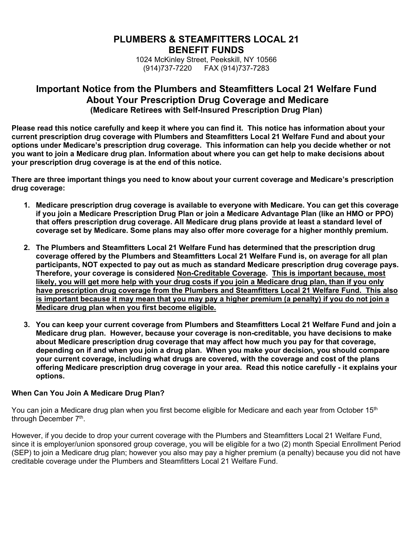# **PLUMBERS & STEAMFITTERS LOCAL 21 BENEFIT FUNDS**

1024 McKinley Street, Peekskill, NY 10566 (914)737-7220 FAX (914)737-7283

# **Important Notice from the Plumbers and Steamfitters Local 21 Welfare Fund About Your Prescription Drug Coverage and Medicare (Medicare Retirees with Self-Insured Prescription Drug Plan)**

**Please read this notice carefully and keep it where you can find it. This notice has information about your current prescription drug coverage with Plumbers and Steamfitters Local 21 Welfare Fund and about your options under Medicare's prescription drug coverage. This information can help you decide whether or not you want to join a Medicare drug plan. Information about where you can get help to make decisions about your prescription drug coverage is at the end of this notice.** 

**There are three important things you need to know about your current coverage and Medicare's prescription drug coverage:** 

- **1. Medicare prescription drug coverage is available to everyone with Medicare. You can get this coverage if you join a Medicare Prescription Drug Plan or join a Medicare Advantage Plan (like an HMO or PPO) that offers prescription drug coverage. All Medicare drug plans provide at least a standard level of coverage set by Medicare. Some plans may also offer more coverage for a higher monthly premium.**
- **2. The Plumbers and Steamfitters Local 21 Welfare Fund has determined that the prescription drug coverage offered by the Plumbers and Steamfitters Local 21 Welfare Fund is, on average for all plan participants, NOT expected to pay out as much as standard Medicare prescription drug coverage pays. Therefore, your coverage is considered Non-Creditable Coverage. This is important because, most likely, you will get more help with your drug costs if you join a Medicare drug plan, than if you only have prescription drug coverage from the Plumbers and Steamfitters Local 21 Welfare Fund. This also is important because it may mean that you may pay a higher premium (a penalty) if you do not join a Medicare drug plan when you first become eligible.**
- **3. You can keep your current coverage from Plumbers and Steamfitters Local 21 Welfare Fund and join a Medicare drug plan. However, because your coverage is non-creditable, you have decisions to make about Medicare prescription drug coverage that may affect how much you pay for that coverage, depending on if and when you join a drug plan. When you make your decision, you should compare your current coverage, including what drugs are covered, with the coverage and cost of the plans offering Medicare prescription drug coverage in your area. Read this notice carefully - it explains your options.**

### **When Can You Join A Medicare Drug Plan?**

You can join a Medicare drug plan when you first become eligible for Medicare and each year from October 15<sup>th</sup> through December 7<sup>th</sup>.

However, if you decide to drop your current coverage with the Plumbers and Steamfitters Local 21 Welfare Fund, since it is employer/union sponsored group coverage, you will be eligible for a two (2) month Special Enrollment Period (SEP) to join a Medicare drug plan; however you also may pay a higher premium (a penalty) because you did not have creditable coverage under the Plumbers and Steamfitters Local 21 Welfare Fund.